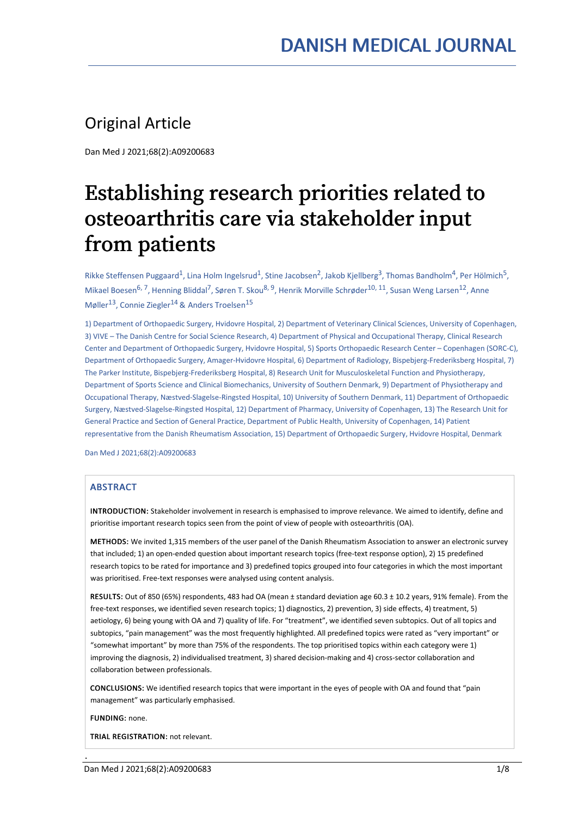# Original Article

Dan Med J 2021;68(2):A09200683

# Establishing research priorities related to osteoarthritis care via stakeholder input from patients

Rikke Steffensen Puggaard<sup>1</sup>, Lina Holm Ingelsrud<sup>1</sup>, Stine Jacobsen<sup>2</sup>, Jakob Kjellberg<sup>3</sup>, Thomas Bandholm<sup>4</sup>, Per Hölmich<sup>5</sup>, Mikael Boesen<sup>6, 7</sup>, Henning Bliddal<sup>7</sup>, Søren T. Skou<sup>8, 9</sup>, Henrik Morville Schrøder<sup>10, 11</sup>, Susan Weng Larsen<sup>12</sup>, Anne Møller<sup>13</sup>, Connie Ziegler<sup>14</sup> & Anders Troelsen<sup>15</sup>

1) Department of Orthopaedic Surgery, Hvidovre Hospital, 2) Department of Veterinary Clinical Sciences, University of Copenhagen, 3) VIVE – The Danish Centre for Social Science Research, 4) Department of Physical and Occupational Therapy, Clinical Research Center and Department of Orthopaedic Surgery, Hvidovre Hospital, 5) Sports Orthopaedic Research Center – Copenhagen (SORC-C), Department of Orthopaedic Surgery, Amager-Hvidovre Hospital, 6) Department of Radiology, Bispebjerg-Frederiksberg Hospital, 7) The Parker Institute, Bispebjerg-Frederiksberg Hospital, 8) Research Unit for Musculoskeletal Function and Physiotherapy, Department of Sports Science and Clinical Biomechanics, University of Southern Denmark, 9) Department of Physiotherapy and Occupational Therapy, Næstved-Slagelse-Ringsted Hospital, 10) University of Southern Denmark, 11) Department of Orthopaedic Surgery, Næstved-Slagelse-Ringsted Hospital, 12) Department of Pharmacy, University of Copenhagen, 13) The Research Unit for General Practice and Section of General Practice, Department of Public Health, University of Copenhagen, 14) Patient representative from the Danish Rheumatism Association, 15) Department of Orthopaedic Surgery, Hvidovre Hospital, Denmark

Dan Med J 2021;68(2):A09200683

#### ABSTRACT

INTRODUCTION: Stakeholder involvement in research is emphasised to improve relevance. We aimed to identify, define and prioritise important research topics seen from the point of view of people with osteoarthritis (OA).

METHODS: We invited 1,315 members of the user panel of the Danish Rheumatism Association to answer an electronic survey that included; 1) an open-ended question about important research topics (free-text response option), 2) 15 predefined research topics to be rated for importance and 3) predefined topics grouped into four categories in which the most important was prioritised. Free-text responses were analysed using content analysis.

RESULTS: Out of 850 (65%) respondents, 483 had OA (mean ± standard deviation age 60.3 ± 10.2 years, 91% female). From the free-text responses, we identified seven research topics; 1) diagnostics, 2) prevention, 3) side effects, 4) treatment, 5) aetiology, 6) being young with OA and 7) quality of life. For "treatment", we identified seven subtopics. Out of all topics and subtopics, "pain management" was the most frequently highlighted. All predefined topics were rated as "very important" or "somewhat important" by more than 75% of the respondents. The top prioritised topics within each category were 1) improving the diagnosis, 2) individualised treatment, 3) shared decision-making and 4) cross-sector collaboration and collaboration between professionals.

CONCLUSIONS: We identified research topics that were important in the eyes of people with OA and found that "pain management" was particularly emphasised.

FUNDING: none.

.

TRIAL REGISTRATION: not relevant.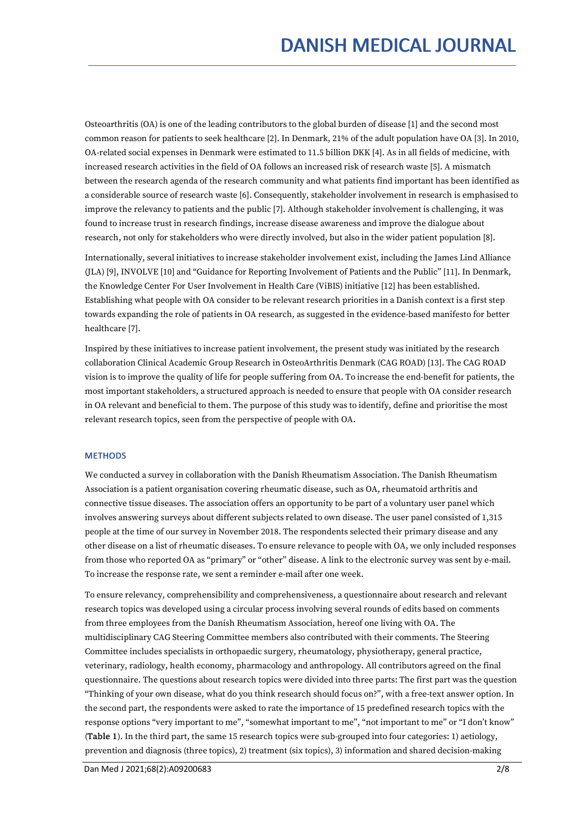Osteoarthritis (OA) is one of the leading contributors to the global burden of disease [1] and the second most common reason for patients to seek healthcare [2]. In Denmark, 21% of the adult population have OA [3]. In 2010, OA-related social expenses in Denmark were estimated to 11.5 billion DKK [4]. As in all fields of medicine, with increased research activities in the field of OA follows an increased risk of research waste [5]. A mismatch between the research agenda of the research community and what patients find important has been identified as a considerable source of research waste [6]. Consequently, stakeholder involvement in research is emphasised to improve the relevancy to patients and the public [7]. Although stakeholder involvement is challenging, it was found to increase trust in research findings, increase disease awareness and improve the dialogue about research, not only for stakeholders who were directly involved, but also in the wider patient population [8].

Internationally, several initiatives to increase stakeholder involvement exist, including the James Lind Alliance (JLA) [9], INVOLVE [10] and "Guidance for Reporting Involvement of Patients and the Public" [11]. In Denmark, the Knowledge Center For User Involvement in Health Care (ViBIS) initiative [12] has been established. Establishing what people with OA consider to be relevant research priorities in a Danish context is a first step towards expanding the role of patients in OA research, as suggested in the evidence-based manifesto for better healthcare [7].

Inspired by these initiatives to increase patient involvement, the present study was initiated by the research collaboration Clinical Academic Group Research in OsteoArthritis Denmark (CAG ROAD) [13]. The CAG ROAD vision is to improve the quality of life for people suffering from OA. To increase the end-benefit for patients, the most important stakeholders, a structured approach is needed to ensure that people with OA consider research in OA relevant and beneficial to them. The purpose of this study was to identify, define and prioritise the most relevant research topics, seen from the perspective of people with OA.

#### **METHODS**

We conducted a survey in collaboration with the Danish Rheumatism Association. The Danish Rheumatism Association is a patient organisation covering rheumatic disease, such as OA, rheumatoid arthritis and connective tissue diseases. The association offers an opportunity to be part of a voluntary user panel which involves answering surveys about different subjects related to own disease. The user panel consisted of 1,315 people at the time of our survey in November 2018. The respondents selected their primary disease and any other disease on a list of rheumatic diseases. To ensure relevance to people with OA, we only included responses from those who reported OA as"primary" or "other" disease. A link to the electronic survey was sent by e-mail. To increase the response rate, we sent a reminder e-mail after one week.

To ensure relevancy, comprehensibility and comprehensiveness, a questionnaire about research and relevant research topics was developed using a circular process involving several rounds of edits based on comments from three employees from the Danish Rheumatism Association, hereof one living with OA. The multidisciplinary CAG Steering Committee members also contributed with their comments. The Steering Committee includes specialists in orthopaedic surgery, rheumatology, physiotherapy, general practice, veterinary, radiology, health economy, pharmacology and anthropology. All contributors agreed on the final questionnaire. The questions about research topics were divided into three parts: The first part was the question "Thinking of your own disease, what do you think research should focus on?", with a free-text answer option. In the second part, the respondents were asked to rate the importance of 15 predefined research topics with the response options "very important to me", "somewhat important to me", "not important to me" or "I don't know" (Table 1). In the third part, the same 15 research topics were sub-grouped into four categories: 1) aetiology, prevention and diagnosis (three topics), 2) treatment (six topics), 3) information and shared decision-making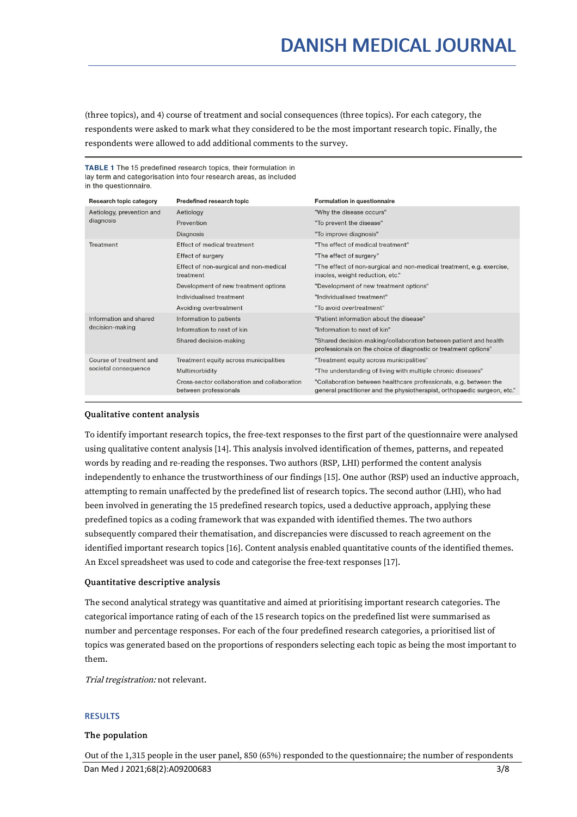(three topics), and 4) course of treatment and social consequences (three topics). For each category, the respondents were asked to mark what they considered to be the most important research topic. Finally, the respondents were allowed to add additional comments to the survey.

#### TABLE 1 The 15 predefined research topics, their formulation in lay term and categorisation into four research areas, as included in the questionnaire.

| Research topic category                         | <b>Predefined research topic</b>                                      | <b>Formulation in questionnaire</b>                                                                                                           |
|-------------------------------------------------|-----------------------------------------------------------------------|-----------------------------------------------------------------------------------------------------------------------------------------------|
| Aetiology, prevention and<br>diagnosis          | Aetiology                                                             | "Why the disease occurs"                                                                                                                      |
|                                                 | Prevention                                                            | "To prevent the disease"                                                                                                                      |
|                                                 | <b>Diagnosis</b>                                                      | "To improve diagnosis"                                                                                                                        |
| Treatment                                       | <b>Effect of medical treatment</b>                                    | "The effect of medical treatment"                                                                                                             |
|                                                 | <b>Effect of surgery</b>                                              | "The effect of surgery"                                                                                                                       |
|                                                 | Effect of non-surgical and non-medical<br>treatment                   | "The effect of non-surgical and non-medical treatment, e.g. exercise,<br>insoles, weight reduction, etc."                                     |
|                                                 | Development of new treatment options                                  | "Development of new treatment options"                                                                                                        |
|                                                 | Individualised treatment                                              | "Individualised treatment"                                                                                                                    |
|                                                 | Avoiding overtreatment                                                | "To avoid overtreatment"                                                                                                                      |
| Information and shared<br>decision-making       | Information to patients                                               | "Patient information about the disease"                                                                                                       |
|                                                 | Information to next of kin                                            | "Information to next of kin"                                                                                                                  |
|                                                 | Shared decision-making                                                | "Shared decision-making/collaboration between patient and health<br>professionals on the choice of diagnostic or treatment options"           |
| Course of treatment and<br>societal consequence | Treatment equity across municipalities                                | "Treatment equity across municipalities"                                                                                                      |
|                                                 | Multimorbidity                                                        | "The understanding of living with multiple chronic diseases"                                                                                  |
|                                                 | Cross-sector collaboration and collaboration<br>between professionals | "Collaboration between healthcare professionals, e.g. between the<br>general practitioner and the physiotherapist, orthopaedic surgeon, etc." |

#### Qualitative content analysis

To identify important research topics, the free-text responses to the first part of the questionnaire were analysed using qualitative content analysis [14]. This analysis involved identification of themes, patterns, and repeated words by reading and re-reading the responses. Two authors (RSP, LHI) performed the content analysis independently to enhance the trustworthiness of our findings [15]. One author (RSP) used an inductive approach, attempting to remain unaffected by the predefined list of research topics. The second author (LHI), who had been involved in generating the 15 predefined research topics, used a deductive approach, applying these predefined topics as a coding framework that was expanded with identified themes. The two authors subsequently compared their thematisation, and discrepancies were discussed to reach agreement on the identified important research topics [16]. Content analysis enabled quantitative counts of the identified themes. An Excel spreadsheet was used to code and categorise the free-text responses [17].

#### Quantitative descriptive analysis

The second analytical strategy was quantitative and aimed at prioritising important research categories. The categorical importance rating of each of the 15 research topics on the predefined list were summarised as number and percentage responses. For each of the four predefined research categories, a prioritised list of topics was generated based on the proportions of responders selecting each topic as being the most important to them.

Trial tregistration: not relevant.

#### RESULTS

#### The population

Out of the 1,315 people in the user panel, 850 (65%) responded to the questionnaire; the number of respondents Dan Med J 2021;68(2):A09200683 3/8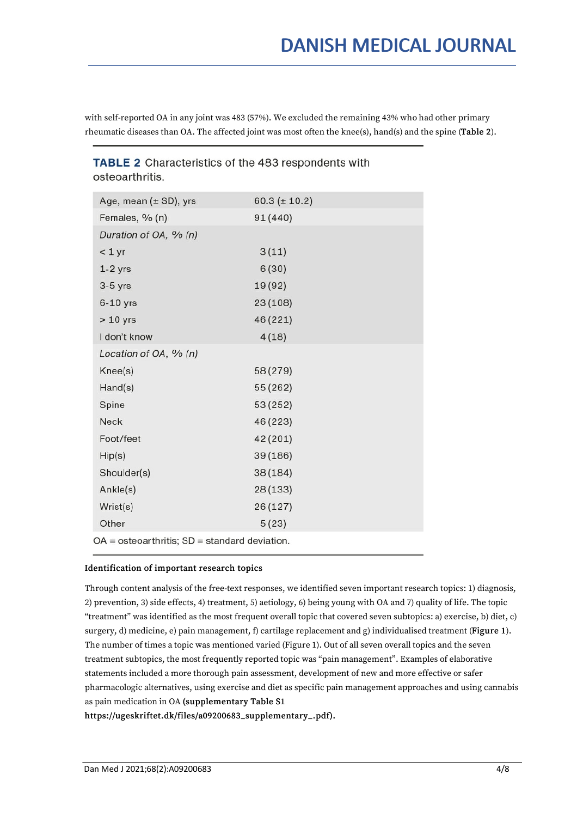with self-reported OA in any joint was 483 (57%). We excluded the remaining 43% who had other primary rheumatic diseases than OA. The affected joint was most often the knee(s), hand(s) and the spine (Table 2).

### TABLE 2 Characteristics of the 483 respondents with osteoarthritis

| Age, mean $(\pm SD)$ , yrs                           | $60.3 (\pm 10.2)$ |  |  |
|------------------------------------------------------|-------------------|--|--|
| Females, % (n)                                       | 91 (440)          |  |  |
| Duration of OA, % (n)                                |                   |  |  |
| < 1 yr                                               | 3(11)             |  |  |
| $1-2$ yrs                                            | 6(30)             |  |  |
| $3-5$ yrs                                            | 19 (92)           |  |  |
| $6-10$ yrs                                           | 23 (108)          |  |  |
| $> 10$ yrs                                           | 46 (221)          |  |  |
| I don't know                                         | 4(18)             |  |  |
| Location of OA, $\%$ (n)                             |                   |  |  |
| Knee(s)                                              | 58 (279)          |  |  |
| Hand(s)                                              | 55 (262)          |  |  |
| Spine                                                | 53 (252)          |  |  |
| Neck                                                 | 46 (223)          |  |  |
| Foot/feet                                            | 42 (201)          |  |  |
| Hip(s)                                               | 39 (186)          |  |  |
| Shoulder(s)                                          | 38 (184)          |  |  |
| Ankle(s)                                             | 28 (133)          |  |  |
| Wrist(s)                                             | 26 (127)          |  |  |
| Other                                                | 5(23)             |  |  |
| $OA = $ osteo arthritis; $SD = $ standard deviation. |                   |  |  |

## Identification of important research topics

Through content analysis of the free-text responses, we identified seven important research topics: 1) diagnosis, 2) prevention, 3) side effects, 4) treatment, 5) aetiology, 6) being young with OA and 7)quality of life. The topic "treatment" was identified as the most frequent overall topic that covered seven subtopics: a) exercise, b) diet, c) surgery, d) medicine, e) pain management, f) cartilage replacement and g) individualised treatment (Figure 1). The number of times a topic was mentioned varied (Figure 1). Out of all seven overall topics and the seven treatment subtopics, the most frequently reported topic was "pain management". Examples of elaborative statements included a more thorough pain assessment, development of new and more effective or safer pharmacologic alternatives, using exercise and diet as specific pain management approaches and using cannabis as pain medication in OA (supplementary Table S1

https://ugeskriftet.dk/files/a09200683\_supplementary\_.pdf).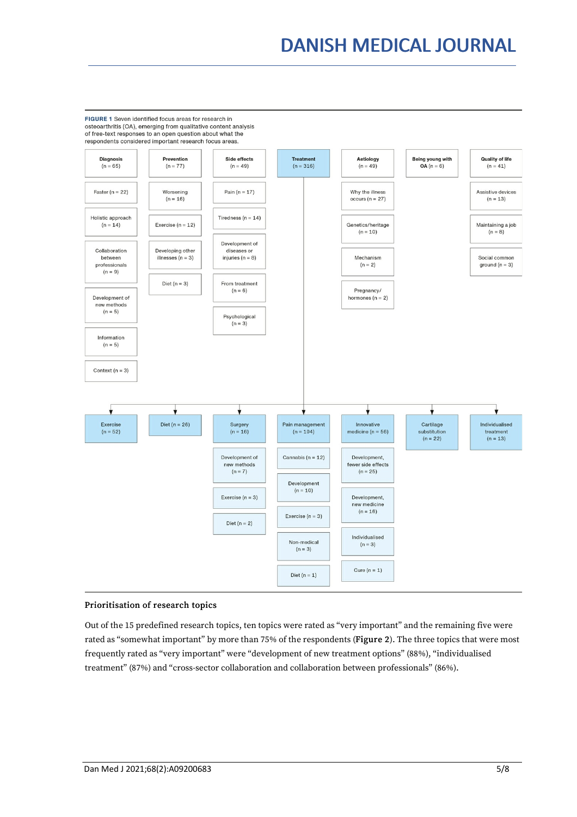# DANISH MEDICAL JOURNAL

FIGURE 1 Seven identified focus areas for research in osteoarthritis (OA), emerging from qualitative content analysis of free-text responses to an open question about what the respondents considered important research focus areas. Prevention Side effects Aetiology Being young with **Quality of life Diagnosis Treatment**  $(n = 65)$  $(n = 49)$  $(n = 77)$  $(n = 316)$  $(n = 49)$  $OA (n = 6)$  $(n = 41)$ Faster ( $n = 22$ ) Why the illness Worsening Pain  $(n = 17)$ Assistive devices  $(n = 16)$  $(n = 13)$ occurs ( $n = 27$ ) Holistic approach Tiredness ( $n = 14$ )  $(n = 14)$ Exercise ( $n = 12$ ) Genetics/heritage Maintaining a job  $(n = 10)$  $(n = 8)$ Development of Collaboration Developing other diseases or between illnesses ( $n = 3$ ) injuries ( $n = 8$ ) Mechanism Social common ground  $(n = 3)$ professionals  $(n = 2)$  $(n = 9)$ Diet ( $n = 3$ ) From treatment  $(n = 6)$ Pregnancy/ Development of hormones  $(n = 2)$ new methods  $(n = 5)$ Psychological  $(n = 3)$ Information  $(n = 5)$ Context ( $n = 3$ ) ٦ Ŵ v Exer Diet ( $n = 26$ ) Surgery Pain manag Innovative Cartilage Individualised  $(n = 52)$  $(n = 16)$  $(n = 104)$ medicine ( $n = 56$ ) substitution treatment  $(n = 22)$  $(n = 13)$ Development of Cannabis ( $n = 12$ ) Development, new methods fewer side effects  $(n = 7)$  $(n = 25)$ Development  $(n = 10)$ Exercise  $(n = 3)$ Development. new medicine  $(n = 16)$ Exercise ( $n = 3$ ) Diet  $(n = 2)$ Individualised Non-medical  $(n = 3)$  $(n = 3)$ Cure  $(n = 1)$ Diet  $(n = 1)$ 

#### Prioritisation of research topics

Out of the 15 predefined research topics, ten topics were rated as "very important" and the remaining five were rated as "somewhat important" by more than 75% of the respondents (Figure 2). The three topics that were most frequently rated as "very important" were "development of new treatment options" (88%), "individualised treatment" (87%) and "cross-sector collaboration and collaboration between professionals" (86%).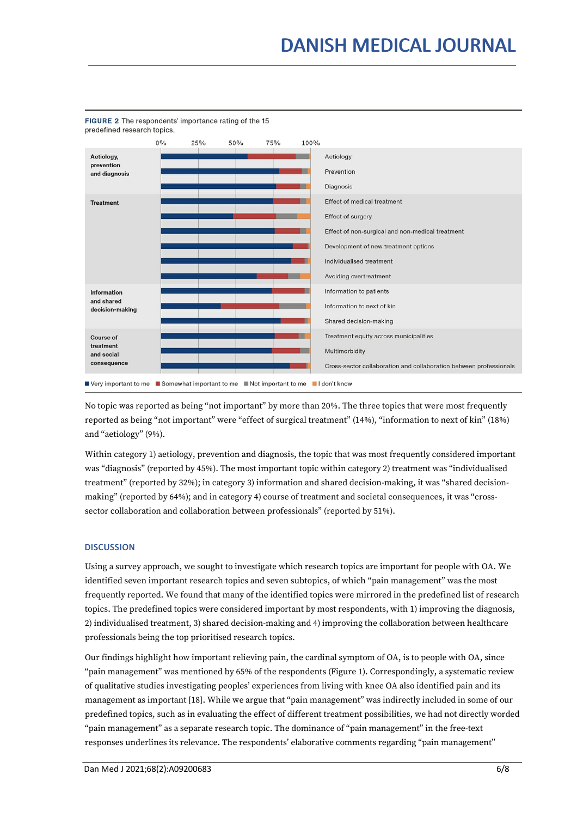

FIGURE 2 The respondents' importance rating of the 15 predefined research topics.

No topic was reported as being "not important" by more than 20%. The three topics that were most frequently reported as being "not important" were "effect of surgical treatment" (14%), "information to next of kin" (18%) and "aetiology" (9%).

Within category 1) aetiology, prevention and diagnosis, the topic that was most frequently considered important was "diagnosis" (reported by 45%). The most important topic within category 2) treatment was "individualised treatment" (reported by 32%); in category 3) information and shared decision-making, it was "shared decision making" (reported by 64%); and in category 4) course of treatment and societal consequences, it was "cross sector collaboration and collaboration between professionals" (reported by 51%).

### **DISCUSSION**

Using a survey approach, we sought to investigate which research topics are important for people with OA. We identified seven important research topics and seven subtopics, of which "pain management" was the most frequently reported. We found that many of the identified topics were mirrored in the predefined list of research topics. The predefined topics were considered important by most respondents, with 1) improving the diagnosis, 2) individualised treatment, 3) shared decision-making and 4) improving the collaboration between healthcare professionals being the top prioritised research topics.

Our findings highlight how important relieving pain, the cardinal symptom of OA, is to people with OA, since "pain management" was mentioned by 65% of the respondents (Figure 1). Correspondingly, a systematic review of qualitative studies investigating peoples' experiences from living with knee OA also identified pain and its management as important [18]. While we argue that "pain management" was indirectly included in some of our predefined topics, such as in evaluating the effect of different treatment possibilities, we had not directly worded "pain management" as a separate research topic. The dominance of "pain management" in the free-text responses underlines its relevance. The respondents' elaborative comments regarding "pain management"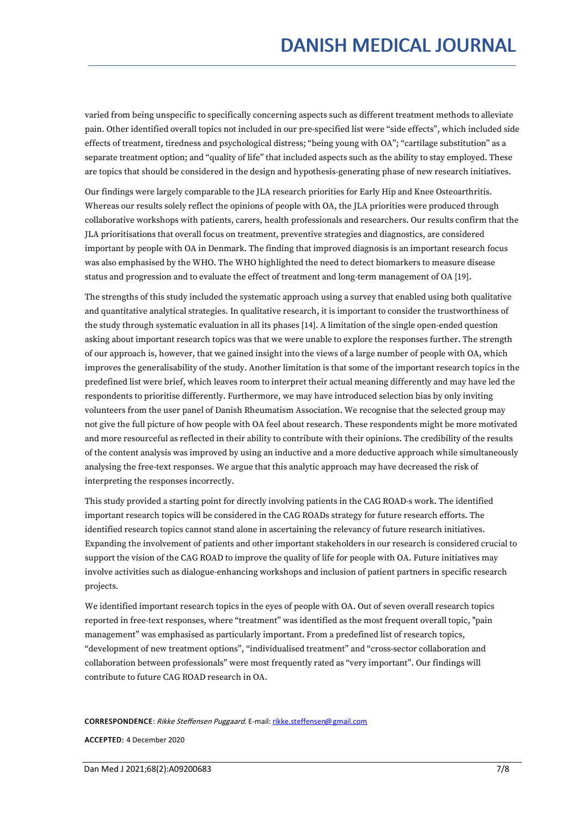varied from being unspecific to specifically concerning aspects such as different treatment methods to alleviate pain. Other identified overall topics not included in our pre-specified list were "side effects", which included side effects of treatment, tiredness and psychological distress; "being young with OA"; "cartilage substitution" as a separate treatment option; and "quality of life" that included aspects such as the ability to stay employed. These are topics that should be considered in the design and hypothesis-generating phase of new research initiatives.

Our findings were largely comparable to the JLA research priorities for Early Hip and Knee Osteoarthritis. Whereas our results solely reflect the opinions of people with OA, the JLA priorities were produced through collaborative workshops with patients, carers, health professionals and researchers. Our results confirm that the JLA prioritisations that overall focus on treatment, preventive strategies and diagnostics, are considered important by people with OA in Denmark. The finding that improved diagnosis is an important research focus was also emphasised by the WHO. The WHO highlighted the need to detect biomarkers to measure disease status and progression and to evaluate the effect of treatment and long-term management of OA [19].

The strengths of this study included the systematic approach using a survey that enabled using both qualitative and quantitative analytical strategies. In qualitative research, it is important to consider the trustworthiness of the study through systematic evaluation in all its phases [14]. A limitation of the single open-ended question asking about important research topics was that we were unable to explore the responses further. The strength of our approach is, however, that we gained insight into the views of a large number of people with OA, which improves the generalisability of the study. Another limitation is that some of the important research topics in the predefined list were brief, which leaves room to interpret their actual meaning differently and may have led the respondents to prioritise differently. Furthermore, we may have introduced selection bias by only inviting volunteers from the user panel of Danish Rheumatism Association. We recognise that the selected group may not give the full picture of how people with OA feel about research. These respondents might be more motivated and more resourceful as reflected in their ability to contribute with their opinions. The credibility of the results of the content analysis was improved by using an inductive and a more deductive approach while simultaneously analysing the free-text responses. We argue that this analytic approach may have decreased the risk of interpreting the responses incorrectly.

This study provided a starting point for directly involving patients in the CAG ROAD-s work. The identified important research topics will be considered in the CAG ROADs strategy for future research efforts. The identified research topics cannot stand alone in ascertaining the relevancy of future research initiatives. Expanding the involvement of patients and other important stakeholders in our research is considered crucial to support the vision of the CAG ROAD to improve the quality of life for people with OA. Future initiatives may involve activities such as dialogue-enhancing workshops and inclusion of patient partners in specific research projects.

We identified important research topics in the eyes of people with OA. Out of seven overall research topics reported in free-text responses, where "treatment" was identified as the most frequent overall topic, "pain management" was emphasised as particularly important. From a predefined list of research topics, "development of new treatment options", "individualised treatment" and "cross-sector collaboration and collaboration between professionals" were most frequently rated as "very important". Our findings will contribute to future CAG ROAD research in OA.

CORRESPONDENCE: Rikke Steffensen Puggaard. E-mail: [rikke.steffensen@gmail.com](mailto:rikke.steffensen@gmail.com)

ACCEPTED: 4 December 2020